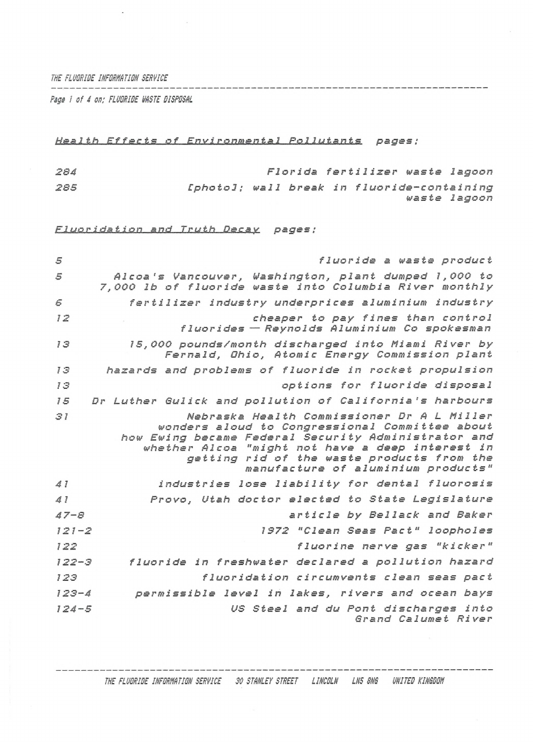*THE FLUORIDE INFORMATION SERVICE*<br>———————————————————————————

*Pigs <sup>1</sup> of 4 on; FLUORIDE HASTE DISPOSAL*

 $\ddot{\phantom{0}}$ 

## *Health Effects of Environmental Pollutants pages ;*

*284 285 Florida fertilizer waste lagoon [photo!; wall break in f1uoride-containing waste lagoon*

*Fluoridation and Truth Decay pages ;*

| 5         | fluoride a waste product                                                                                                                                                                                                                                                                    |
|-----------|---------------------------------------------------------------------------------------------------------------------------------------------------------------------------------------------------------------------------------------------------------------------------------------------|
| 5         | Alcoa's Vancouver, Washington, plant dumped 1,000 to<br>7,000 lb of fluoride waste into Columbia River monthly                                                                                                                                                                              |
| 5         | fertilizer industry underprices aluminium industry                                                                                                                                                                                                                                          |
| 72        | cheaper to pay fines than control<br>fluorides - Reynolds Aluminium Co spokesman                                                                                                                                                                                                            |
| 13        | 15,000 pounds/month discharged into Miami River by<br>Fernald, Ohio, Atomic Energy Commission plant                                                                                                                                                                                         |
| 13        | hazards and problems of fluoride in rocket propulsion                                                                                                                                                                                                                                       |
| 13        | options for fluoride disposal                                                                                                                                                                                                                                                               |
| 15        | Dr Luther Gulick and pollution of California's harbours                                                                                                                                                                                                                                     |
| 31        | Nebraska Health Commissioner Dr A L Miller<br>wonders aloud to Congressional Committee about<br>how Ewing became Federal Security Administrator and<br>whether Alcoa "might not have a deep interest in<br>getting rid of the waste products from the<br>manufacture of aluminium products" |
| 41        | industries lose liability for dental fluorosis                                                                                                                                                                                                                                              |
| $d$ $l$   | Provo, Utah doctor elected to State Legislature                                                                                                                                                                                                                                             |
| $47 - 8$  | article by Bellack and Baker                                                                                                                                                                                                                                                                |
| $121 - 2$ | 1972 "Clean Seas Pact" loopholes                                                                                                                                                                                                                                                            |
| 122       | fluorine nerve gas "kicker"                                                                                                                                                                                                                                                                 |
| $122 - 3$ | fluoride in freshwater declared a pollution hazard                                                                                                                                                                                                                                          |
| 123       | fluoridation circumvents clean seas pact                                                                                                                                                                                                                                                    |
| $123 - 4$ | permissible level in lakes, rivers and ocean bays                                                                                                                                                                                                                                           |
| $124 - 5$ | US Steel and du Pont discharges into<br>Grand Calumet River                                                                                                                                                                                                                                 |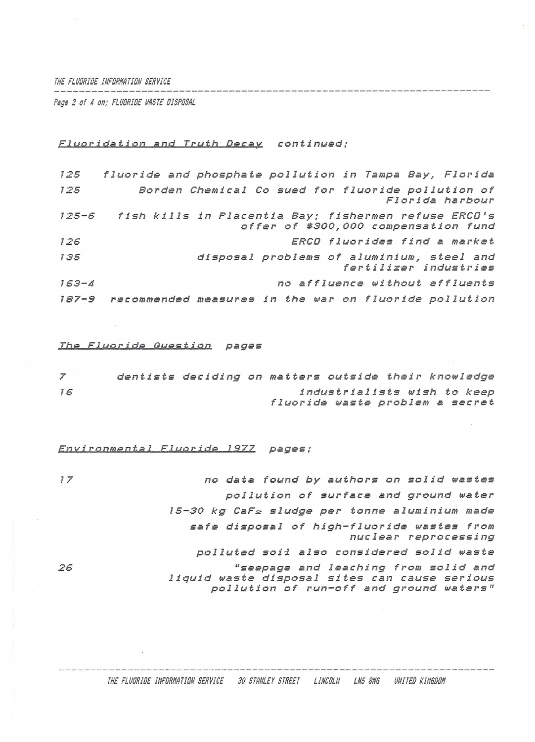### *THE FLUDRIDE INFDRW.TIDN SERVICE*

*Rags 2 of 4 on; FLUORIDE VASTE DISPOSAL*

#### *Fluoridation and Truth Decay continued;*

| 125       | fluoride and phosphate pollution in Tampa Bay, Florida                                             |
|-----------|----------------------------------------------------------------------------------------------------|
| 125       | Borden Chemical Co sued for fluoride pollution of<br>Florida harbour                               |
|           | 125-6 fish kills in Placentia Bay; fishermen refuse ERCO's<br>offer of \$300,000 compensation fund |
| 126       | ERCO fluorides find a market                                                                       |
| 135       | disposal problems of aluminium, steel and<br>fertilizer industries                                 |
| $163 - 4$ | no affluence without effluents                                                                     |
| $187 - 9$ | recommended measures in the war on fluoride pollution                                              |

### *The Fluo<sup>r</sup> <sup>í</sup> de Dues tion pages*

|    |  |  |  | dentists deciding on matters outside their knowledge           |
|----|--|--|--|----------------------------------------------------------------|
| 16 |  |  |  | industrialists wish to keep<br>fluoride waste problem a secret |

*Environmental Fluoride*\_\_LSZZ *pages ;*

*<sup>17</sup> no data found by authors on solid wastes pollution of surface and ground water 15-30 kg CaFz sludge per tonne aluminium made safe disposal of <sup>h</sup> igh-f1uoride wastes from nuclear reprocessing polluted soil also considered solid waste 26 "seepage and leaching from solid and liquid waste disposal sites can cause serious pollution of run-off and ground waters"*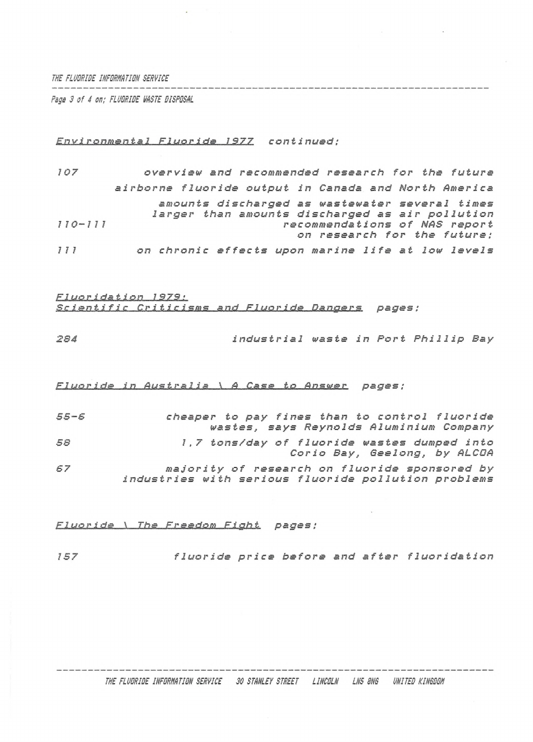THE FLUDRIDE INFORMATION SERVICE 

Page 3 of 4 on: FLUDRIDE WASTE DISPOSAL

# Environmental Fluoride 1977 continued:

| 107         | overview and recommended research for the future                                                  |
|-------------|---------------------------------------------------------------------------------------------------|
|             | airborne fluoride output in Canada and North America                                              |
|             | amounts discharged as wastewater several times<br>larger than amounts discharged as air pollution |
| $110 - 111$ | recommendations of NAS report<br>on research for the future;                                      |
| 777         | on chronic effects upon marine life at low levels                                                 |

| <u> Fluoridation 1979:</u>                               |  |
|----------------------------------------------------------|--|
| <u>Scientific Criticisms and Fluoride Dangers</u> pages: |  |

| 284 | industrial waste in Port Phillip Bay |  |  |  |  |
|-----|--------------------------------------|--|--|--|--|
|-----|--------------------------------------|--|--|--|--|

#### Fluoride in Australia \ A Case to Answer pages;

| $55 - 5$ | cheaper to pay fines than to control fluoride       |
|----------|-----------------------------------------------------|
|          | wastes, says Reynolds Aluminium Company             |
| 58       | 1,7 tons/day of fluoride wastes dumped into         |
|          | Corio Bay, Geelong, by ALCDA                        |
| 67       | majority of research on fluoride sponsored by       |
|          | industries with serious fluoride pollution problems |

Fluoride \ The Freedom Fight pages:

fluoride price before and after fluoridation 157